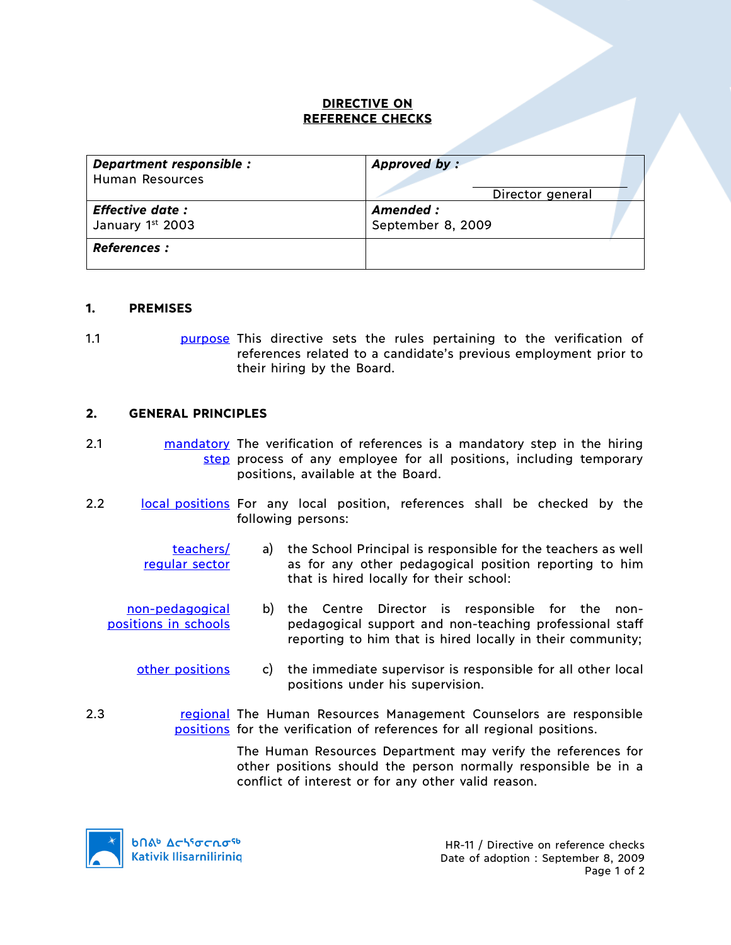### **DIRECTIVE ON REFERENCE CHECKS**

| Department responsible : | Approved by:      |
|--------------------------|-------------------|
| Human Resources          | Director general  |
| <b>Effective date:</b>   | Amended :         |
| January 1st 2003         | September 8, 2009 |
| <b>References :</b>      |                   |

#### **1. PREMISES**

1.1 **purpose This directive sets the rules pertaining to the verification of** references related to a candidate's previous employment prior to their hiring by the Board.

#### **2. GENERAL PRINCIPLES**

- 2.1 mandatory The verification of references is a mandatory step in the hiring step process of any employee for all positions, including temporary positions, available at the Board.
- 2.2 **local positions** For any local position, references shall be checked by the following persons:
	- teachers/ regular sector a) the School Principal is responsible for the teachers as well as for any other pedagogical position reporting to him that is hired locally for their school:
	- non-pedagogical positions in schools b) the Centre Director is responsible for the nonpedagogical support and non-teaching professional staff reporting to him that is hired locally in their community;
		- other positions c) the immediate supervisor is responsible for all other local positions under his supervision.
- 2.3 **regional The Human Resources Management Counselors are responsible** positions</u> for the verification of references for all regional positions.

The Human Resources Department may verify the references for other positions should the person normally responsible be in a conflict of interest or for any other valid reason.